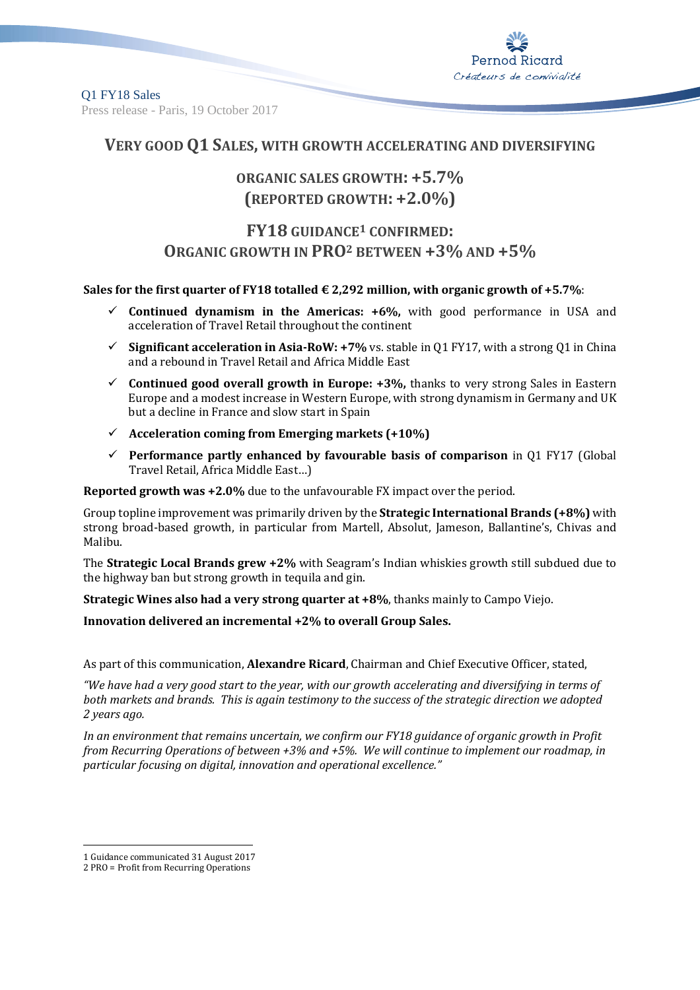Q1 FY18 Sales Press release - Paris, 19 October 2017



Pernod Ricard Créateurs de convivialité

# **ORGANIC SALES GROWTH: +5.7% (REPORTED GROWTH: +2.0%)**

# **FY18 GUIDANCE<sup>1</sup> CONFIRMED: ORGANIC GROWTH IN PRO<sup>2</sup> BETWEEN +3% AND +5%**

### Sales for the first quarter of FY18 totalled  $\epsilon$  2,292 million, with organic growth of +5.7%:

- $\checkmark$  **Continued dynamism in the Americas: +6%,** with good performance in USA and acceleration of Travel Retail throughout the continent
- $\checkmark$  Significant acceleration in Asia-RoW: +7% vs. stable in Q1 FY17, with a strong Q1 in China and a rebound in Travel Retail and Africa Middle East
- **Continued good overall growth in Europe: +3%,** thanks to very strong Sales in Eastern Europe and a modest increase in Western Europe, with strong dynamism in Germany and UK but a decline in France and slow start in Spain
- **Acceleration coming from Emerging markets (+10%)**
- **Performance partly enhanced by favourable basis of comparison** in Q1 FY17 (Global Travel Retail, Africa Middle East…)

**Reported growth was +2.0%** due to the unfavourable FX impact over the period.

Group topline improvement was primarily driven by the **Strategic International Brands (+8%)** with strong broad-based growth, in particular from Martell, Absolut, Jameson, Ballantine's, Chivas and Malibu.

The **Strategic Local Brands grew +2%** with Seagram's Indian whiskies growth still subdued due to the highway ban but strong growth in tequila and gin.

**Strategic Wines also had a very strong quarter at +8%**, thanks mainly to Campo Viejo.

**Innovation delivered an incremental +2% to overall Group Sales.**

As part of this communication, **Alexandre Ricard**, Chairman and Chief Executive Officer, stated,

*"We have had a very good start to the year, with our growth accelerating and diversifying in terms of both markets and brands. This is again testimony to the success of the strategic direction we adopted 2 years ago.*

*In an environment that remains uncertain, we confirm our FY18 guidance of organic growth in Profit from Recurring Operations of between +3% and +5%. We will continue to implement our roadmap, in particular focusing on digital, innovation and operational excellence."*

 $\overline{a}$ 

<sup>1</sup> Guidance communicated 31 August 2017

<sup>2</sup> PRO = Profit from Recurring Operations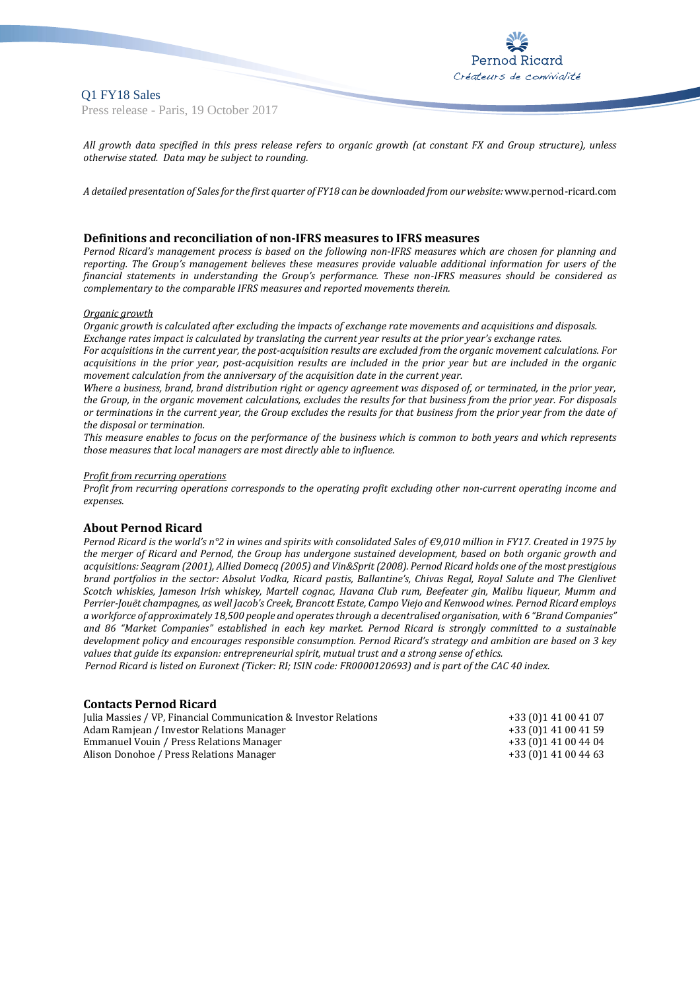Q1 FY18 Sales

Press release - Paris, 19 October 2017

Pernod Ricard Créateurs de convivialité

*All growth data specified in this press release refers to organic growth (at constant FX and Group structure), unless otherwise stated. Data may be subject to rounding.*

*A detailed presentation of Sales for the first quarter of FY18 can be downloaded from our website:* [www.pernod-ricard.com](http://www.pernod-ricard.com/)

#### **Definitions and reconciliation of non-IFRS measures to IFRS measures**

*Pernod Ricard's management process is based on the following non-IFRS measures which are chosen for planning and reporting. The Group's management believes these measures provide valuable additional information for users of the financial statements in understanding the Group's performance. These non-IFRS measures should be considered as complementary to the comparable IFRS measures and reported movements therein.*

#### *Organic growth*

*Organic growth is calculated after excluding the impacts of exchange rate movements and acquisitions and disposals. Exchange rates impact is calculated by translating the current year results at the prior year's exchange rates.*

*For acquisitions in the current year, the post-acquisition results are excluded from the organic movement calculations. For acquisitions in the prior year, post-acquisition results are included in the prior year but are included in the organic movement calculation from the anniversary of the acquisition date in the current year.*

*Where a business, brand, brand distribution right or agency agreement was disposed of, or terminated, in the prior year, the Group, in the organic movement calculations, excludes the results for that business from the prior year. For disposals or terminations in the current year, the Group excludes the results for that business from the prior year from the date of the disposal or termination.*

*This measure enables to focus on the performance of the business which is common to both years and which represents those measures that local managers are most directly able to influence.*

#### *Profit from recurring operations*

*Profit from recurring operations corresponds to the operating profit excluding other non-current operating income and expenses.*

### **About Pernod Ricard**

*Pernod Ricard is the world's n°2 in wines and spirits with consolidated Sales of €9,010 million in FY17. Created in 1975 by the merger of Ricard and Pernod, the Group has undergone sustained development, based on both organic growth and acquisitions: Seagram (2001), Allied Domecq (2005) and Vin&Sprit (2008). Pernod Ricard holds one of the most prestigious brand portfolios in the sector: Absolut Vodka, Ricard pastis, Ballantine's, Chivas Regal, Royal Salute and The Glenlivet Scotch whiskies, Jameson Irish whiskey, Martell cognac, Havana Club rum, Beefeater gin, Malibu liqueur, Mumm and Perrier-Jouët champagnes, as well Jacob's Creek, Brancott Estate, Campo Viejo and Kenwood wines. Pernod Ricard employs a workforce of approximately 18,500 people and operates through a decentralised organisation, with 6 "Brand Companies" and 86 "Market Companies" established in each key market. Pernod Ricard is strongly committed to a sustainable development policy and encourages responsible consumption. Pernod Ricard's strategy and ambition are based on 3 key values that guide its expansion: entrepreneurial spirit, mutual trust and a strong sense of ethics.*

*Pernod Ricard is listed on Euronext (Ticker: RI; ISIN code: FR0000120693) and is part of the CAC 40 index.*

### **Contacts Pernod Ricard**

| Julia Massies / VP, Financial Communication & Investor Relations | +33 (0) 141 00 41 07 |
|------------------------------------------------------------------|----------------------|
| Adam Ramjean / Investor Relations Manager                        | +33 (0) 141 00 41 59 |
| Emmanuel Vouin / Press Relations Manager                         | +33 (0) 141 00 44 04 |
| Alison Donohoe / Press Relations Manager                         | +33 (0) 141 00 44 63 |